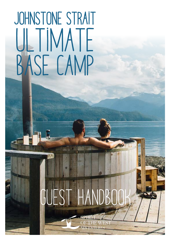# JOHNSTONE STRAIT ULTIMATE BASE CAMP

# GUEST HANDBOOK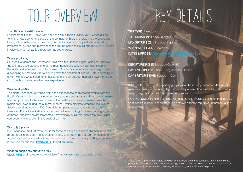# TOUR OVERVIEW KEY DETAILS

### The Ultimate Coastal Escape

Escape from it all for 4 days with a trip to West Cracroft island. You'll water taxi out to this remote spot on the edge of the Johnstone Strait and relax into the peace and beauty of the natural world. With all your meals provided, daily activities offered by professional guides and plenty of space around camp to just sit and relax, your trip can involve as much or as little recreation as you choose.

### Where you'll stay

Situated just across the Johnstone Strait from the Robson Bight Ecological Reserve, the Ultimate base camp is one of the most peaceful locations you'll ever sleep in. Perfectly positioned with mountain views of North Vancouver Island, you might catch a sweeping sunset or a wildlife sighting from the oceanfront hot tub. This is camping in style - with big white safari tents, raised cots and an outdoor heated shower to give a cozy touch to a remote wilderness experience.

### Weather & wildlife

Our Johnsone Strait Ultimate tour is for those seeking a chance to disconnect from it all and relax in the soothing sounds of nature. Chill out in the hot tub - or explore the area on foot and via kayak with our experienced guides. No prior paddling experience is required for this tour. **CONTACT US** to find out more.

TRIP TYPE: Base camp TRIP DURATION: 4 days / 3 nights MAX GROUP SIZE: 12 guests, 3 guides WHEN WE GO: July - September DATES & PRICES: [CLICK HERE FOR MORE INFO & TO BOOK](https://www.kayakingtours.com/kayak-trips/british-columbia-kayak-tours/kayaking-killer-whales/)

DEPARTURE POINT: Telegraph Cove, BC DAY 1 MEETING: 11:30am - Telegraph Cove Resort DAY 4 RETURN TIME: Between 1-2pm<sup>\*</sup>

The North East coast of Vancouver Island experiences coldwater upwelling from the Pacific Ocean - which brings nutrient-dense waters and attracts salmon, orcas, eagles and humpbacks into the area. These colder waters and ocean breezes make the region cool, even during the summer months. Typical daytime temperatures in June - September sit at around 19°C. Overnight temperatures can drop as low as 10°C. Fleece and/or puffy jackets are recommended, even in August. Early morning fog is common, and if winds are forecasted, they typically build throughout the day. Rainfall can occur anytime, even in the peak of summer.

NOT INCLUDED: Personal clothing, rain gear (rentals available), alcohol, transport to/ from departure point, accommodation before & after the trip, travel insurance, guide team gratuity

### Who this trip is for

### What do people say about this trip?

[CLICK HERE](https://www.kayakingtours.com/kayak-trips/british-columbia-kayak-tours/kayaking-killer-whales/) and navigate to the "reviews" tab to read past guest testimonials.

INCLUDED: Expert guides, paddling equipment, base camp accommodations, all meals and snacks from lunch day 1 - lunch day 4, use of camp hot tub, return water taxi journey, park permits & land use permissions

\* Due to the unpredictable nature of wilderness travel, return times cannot be guaranteed. Please plan transport and accommodation accordingly. If you do choose to book flights or ferries for your final day, we highly recommend covering those within your travel insurance policy.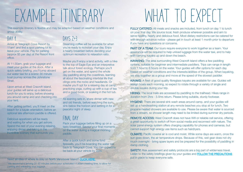# EXAMPLE ITINERARY

Arrive at Telegraph Cove Resort by 11am<sup>\*</sup> and find a spot parking lot to leave your vehicle. Pay for parking (approx \$5 per day) at the Resort front office.

At 11:30am, grab your luggage and meet your guides at the dock. After a quick safety briefing, you'll jump aboard our water taxi for a scenic 30 minute boat journey across the Johnstone Strait.

Upon arrival at West Cracroft Island, your guides will serve up a delicious lunch for you to enjoy, before showing you around camp and and checking into your tent.

After getting settled, you'll meet on the beach for a kayak orientation, before an optional late afternoon paddle is offered.

Delicious appetizers will be ready and waiting for when you get ashore. Spend the rest of your evening relaxing, enjoying dinner and taking in the incredible scenery that surrounds you.

This example itinerary is flexible and may be adapted based on weather conditions and group ability.

## DAY 1

Steaming coffee will be available for when you're ready to kickstart your day. Enjoy a hearty breakfast before deciding your optimum recreation to relaxation ratio.

FULLY CATERED: All meals and snacks are included, from lunch on day 1 to lunch on your final day. We source local, fresh produce wherever possible and aim to serve healthy, hearty and delicious food. Most dietary restrictions can be catered for with enough advance notice - please get in touch at least 1 month prior to departure if you have any questions or concerns.

PART OF A TEAM: Our tours require everyone to work together as a team. Your assistance will be required to help unload luggage from the water taxi, and to help with carrying kayaks up and down the beach.

Maybe you'll enjoy a land activity, with a hike to the top of Eagle Eye and an interpretive talk about forest ecology. Perhaps you'll get on the water, and spend the whole day paddling along the coastlines, learning all about the fascinating intertidal life that clings onto the rocks and headlands. Or maybe you'll opt for a relaxing day at camp, practicing yoga, curling up with a cup of tea and a good book, or soaking in the hot tub.

As evening sets in, share dinner with new and old friends, before watching the sun sink below the horizon and settling in for a peaceful night of sleep.

**HIKING:** The local trails are accessed by paddling to the trailhead. Hikes range in duration from 2hrs - 3.5hrs return. Please bring suitable, sturdy footwear.

### DAYs 2+3

Pack your luggage before filling up on a tasty breakfast. Savour your final moments on the water during a magical morning paddle.

After a quick lunch and some fond farewells, you'll be boarding the water taxi back to Telegraph Cove. You can expect to be back at your vehicle by 2pm.

Need an idea of where to stay on North Vancouver Island? [CLICK HERE.](https://www.kayakingtours.com/booking-info/your-stay-vancouver-island/) The manner of the place to keep everyone safe.

## FINAL DAY

KAYAKING: The area surrounding West Cracroft Island offers a few paddling options, suitable for beginner and intermediate paddlers. Trips can range in length from 1 hour to 6 hours on the water. Your guides will offer options for each day based on weather conditions and the interests/abilities of the group. When kayaking, we stay together as a group and move at the speed of the slowest paddler.

KAYAKS: A fleet of good quality fibreglass kayaks are available for use. Guides will assign boats each morning, so expect to rotate through a variety of single and double kayaks during your trip.

HYGIENE: There are several sink wash areas around camp, and your guides will set up a handwashing station at any remote beaches you stop at for lunch. Two propane-heated showers are available to use. Please be aware that water is sourced from a stream, so shower length may need to be limited during summer dry periods.

REMOTE ACCESS: West Cracroft does not have Wifi or reliable cell service, offering a great opportunity to switch off from social media and reconnect with nature. The solar panel energy system offers charging capability for phones and cameras, but cannot support high energy use items such as hairdryers.

CLIMATE: Pacific coastal air is cool and moist. While some days are warm, once the sun goes down, the air temperature drops. Because of this, wet gear does not dry much overnight - bring spare layers and be prepared for the possibility of paddling in damp clothing.

SAFETY: Risk assessment and safety protocols are a big part of wilderness travel. Listen to the safety briefings given by your guides and [FOLLOW THE PRECAUTIONS](https://www.kayakingtours.com/learning-kayaking/travelwithconfidence/)

\*We recommend arriving 20-30 minutes before your scheduled 11:30am meeting time, to allow for parking and unloading your luggage.

# WHAT TO EXPECT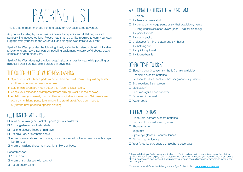# PACKING LIST

<span id="page-3-0"></span>This is a list of recommended items to pack for your base camp adventure.

As you are traveling by water taxi, suitcases, backpacks and duffel bags are all perfectly fine luggage options. Please note that you will be required to carry your own luggage from your car to the water taxi, and along uneven trails to your tent.

Spirit of the West does not provide: sleeping bags, shoes to wear while paddling or raingear (rentals are available if ordered in advance).

Spirit of the West provides the following: lovely safari tents, raised cots with inflatable pillows, one bath towel per person, paddling equipment, waterproof drybags, board games and camp binoculars.

- ◆ Synthetic, wool & fleece perform better than cotton & down. They will dry faster and keep you warmer, even when wet.
- ◆ Lots of thin layers are much better than fewer, thicker layers.
- ◆ Check your raingear is waterproof before arriving (wear it in the shower).
- ◆ Athletic gear you already own is often very suitable for kayaking. Ski base layers, yoga pants, hiking pants & running shirts are all great. You don't need to buy brand new paddling-specific clothing.

## THE GOLDEN RULES OF WILDERNESS CAMPING

- $\Box$  1 x fleece or sweatshirt
- $\Box$  1 x camp pants: yoga pants or synthetic/quick dry pants
- $\Box$  2 x long underwear/base layers (keep 1 pair for sleeping)
- $\Box$  1 x pair of shorts
- $\Box$  4 x warm socks
- $\Box$  Underwear (a mix of cotton and synthetic)
- $\Box$  1 x bathing suit
- $\Box$  1 x quick dry towel
- ☐ 1 x toque/beanie

- ☐ Sleeping bag: 3 season synthetic (rentals available)
- ☐ Headlamp & spare batteries
- ☐ Personal toiletries: ecofriendly/biodegradable if possible
- ☐ Bug repellent & sunscreen
- □ Medication\*
- $\Box$  Face mask(s) & hand sanitizer
- □ Book and/or journal
- □ Water bottle

### Recommended:

- $\Box$  1 x sun hat
- $\Box$  A pair of sunglasses (with a strap)
- $\Box$  1 x buff/neck gaiter

### Clothing for ACTIVITIES

- $\Box$  A full set of rain gear jacket & pants (rentals available)
- $\Box$  2 x long-sleeved synthetic shirts
- ☐ 1 x long-sleeved fleece or mid-layer
- $\Box$  1 x quick-dry or synthetic pants
- ☐ A pair of water shoes: gum boots, crocs, neoprene booties or sandals with straps. No flip flops.
- □ A pair of walking shoes: runners, light hikers or boots

### additional Clothing for around camp

### $\square$  2 x shirts

## other items to bring

### optional extras

- ☐ Binoculars, camera & spare batteries
- □ Cards, crib or small camp games
- □ Phone charger
- ☐ Yoga mat
- ☐ Spare eye glasses & contact lenses
- ☐ Fishing gear & licence\*\*
- ☐ Your favourite carbonated or alcoholic beverages

\*Steps to take if you're bringing medication: 1) Pack medication in a water & sun-proof container. 2) Write the name and expiry date of drug on the container. 3) Ensure you have detailed instructions of your dosage and frequency. 4) If you are flying, please pack all necessary medication in your carry-on luggage.

\*\*You need a valid Canadian fishing licence if you'd like to fish. [CLICK HERE TO GET ONE](https://www.pac.dfo-mpo.gc.ca/fm-gp/rec/licence-permis/application-eng.html)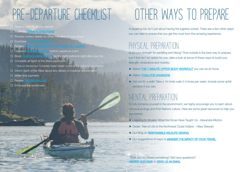# PRE-DEPARTURE CHECKLIST OTHER WAYS TO PREPARE

- ☐ Reserve your trip & pay deposit
- □ Read the **[TERMS & CONDITIONS](#page-5-0)**
- ☐ Provide contact details for other members of your group
- **U** Purchase [TRAVEL INSURANCE](https://www.kayakingtours.com/learning-kayaking/travel-insurance/)
- $\square$  Review
- 
- 
- □ Organize [TRANSPORTATION](https://www.kayakingtours.com/booking-info/your-stay-vancouver-island/) to/from departure point
- □ Book [YOUR ACCOMMODATION](https://www.kayakingtours.com/booking-info/your-stay-vancouver-island/) for the night before & night after your trip
- ☐ Complete all Spirit of the West paperwork
	- Click on the big blue 'Complete Guest Details' button at the bottom of your invoice
- ☐ Inform Spirit of the West about any dietary or medical requirements
- ☐ Make final payment
- □ Review [THE PACKING LIST](#page-3-0)
- ☐ Embrace the excitement

- ◆ Watch [THE 7 MINUTE UPPER BODY WORKOUT](https://greatist.com/fitness/7-minute-upper-body-workout-you-can-do-at-home) you can do at home
- ◆ Watch [YOGA FOR KAYAKERS](https://www.mensjournal.com/adventure/yoga-for-paddlers-part-i/)
- ◆ Get out for a walk! Take a 1hr brisk walk 2-3 times per week. Include some uphill sections if you can.

A kayaking trip isn't just about having the logistics sorted. There are a few other steps you can take to ensure that you get the most from this amazing experience.

## Physical preparation

Think you've missed something? Still have questions? **[REVIEW OUR FAQS](https://www.kayakingtours.com/learning-kayaking/kayaking-british-columbia-faq/) OF [SEND US AN EMAIL](mailto:info%40kayakingtours.com?subject=Questions%20about%20upcoming%20WWG%20tour)** 

Build your strength for paddling and hiking! Time outside is the best way to prepare, but if that isn't an option for you, take a look at some of these ways to build your strength, endurance and mobility:

## MENTAL preparation

To fully immerse yourself in the environment, we highly encourage you to learn about the local ecology and First Nations culture. Here are some great resources to help you get started:

- ◆ Listening to Whales: What the Orcas Have Taught Us Alexandra Morton
- ◆ Cedar: Tree of Life to the Northwest Coast Indians Hilary Stewart
- ◆ Our blog on [RESPONSIBLE WILDLIFE VIEWING](https://www.kayakingtours.com/booking-info/recommended-reading/#responsible-whale-watching)
- ◆ Our suggestions of ways to **[MINIMIZE THE IMPACT OF YOUR TRAVEL](https://www.kayakingtours.com/booking-info/responsible-travel/)**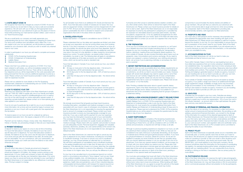# TERMS+CONDITIONS

### <span id="page-5-0"></span>1. A NOTE ABOUT COVID-19

We recognize that travel has changed as a result of COVID-19 and we want to assure you we are here to help you have a safe and wonderful experience. We will work with you to help you find appropriate travel insurance protection for your adventure to give you the peace of mind to travel while protecting your hard-earned vacation dollars. Learn more on our Travel Insurance page.

In order to participate in our tours you will need to complete and answer satisfactorily:

- ◆ COVID-19 Pre-Screening Questionnaire
- ◆ COVID-19 Statement of Understanding
- **Liability Waiver**
- ◆ Medical Information Form

We are a small family-run company and really appreciate your understanding that we incur many expenses in preparing for these tours. Our terms and conditions and cancellation policy reflect this. If you are unable to join your tour as planned, we will provide any paperwork needed for your insurance claim, should you wish to reclaim any retained travel or tour costs.

If you're not sure if a particular trip is right for you or you're looking for more information, let us know and we would be happy to answer your questions or put you in touch with a past guest who has experienced the trip before.

Please note that if you exhibit any symptoms of COVID-19 or have been ordered to self-isolate, you will be immediately isolated from the group and likely removed from the tour. There will be no refunds after tour departure and you will be responsible for the costs associated with being removed from the tour and any additional expenses incurred as a result. Please contact your travel insurance provider in order to submit a claim for expenses incurred.

Please visit our website for more details on the Pre-Screening Questionnaire, Statement of Understanding and our COVID-19 specific procedures and safety measures.

### 2. HOW TO RESERVE YOUR TRIP

Reserving your adventure with Spirit of the West Adventures is simple. Just call 1-800-307-3982 to speak with one of our friendly and helpful office crew, e-mail your request to info@kayakingtours.com or reserve your trip on the web through our online reservation request system. If reserving a private bubble tour, please contact us to have special group rates applied to your reservation.

To reserve space on our tours we ask for a deposit as well as a completed reservation form. We require a deposit of 25% on all tours.

Payment can be made by cheque, money order, Visa, MasterCard, or Interac e-Transfer; any processing charges or fees are your responsibility.

### 3. PAYMENT SCHEDULE

A deposit to reserve your space on a tour is due at time of booking. For tours that take place in Canada, the balance of your trip cost is due 60 days prior to departure. For tours that take place outside of Canada, the balance of your trip cost is due 90 days prior to departure. If you book and pay after the final balance due date, all monies paid are non-refundable. For your convenience, with your authorization, we automatically charge your credit card when the balance is due unless otherwise arranged.

### 4. PRICING

All tours which take place in Canada are priced and charged in Canadian dollars; tours to Chile, the Bahamas and Greenland are priced and charged in US dollars. Any foreign currency pricing is only approximate. It is your credit card company or bank who determines your exchange rate on the day your transaction takes place. If for some reason you have to cancel and funds are refunded to your card Spirit of the West Adventures is not responsible for any differences in exchange rates. Pricing is subject to change.

We strongly recommend that all quests purchase travel insurance, including interruption, cancellation and medical coverage to cover costs associated with your travel in case of unforeseen circumstances. Spirit of the West Adventures Ltd. is not responsible for ensuring the appropriate level or amount of coverage is purchased. Please contact your travel insurance provider to ensure you have appropriate coverage for your entire trip. If you use a credit card for payment for your tour expenses, you may have trip interruption insurance as part of your card benefits. This coverage, however, is often a limited dollar amount, may not cover COVID-19 related issues and does not usually include cancellation or medical coverage. Please check with your specific card provider to ensure you are adequately insured. Personal equipment, baggage and valuables (cameras, electronics, jewellery, etc.) are carried entirely at the owner's risk. Spirit of the West Adventures Ltd. is not responsible for lost, damaged or delayed property.

For all Canadian tours there is an additional 5% Goods and Services Tax (GST). Tours that take place outside of Canada are not taxed. Non-tour add-ons (equipment rentals, merchandise) must be charged both 5% GST and 7% PST. All tours are also subject to a non-taxed voluntary \$20 per person sustainability fee which is donated to research and conservation organizations that work in the areas where we operate.

### 5. CANCELLATION POLICY

Please read section 1 in regards to cancellations due to COVID-19.

Please understand that our trip dates and capacities are limited, and when we accept your reservation we may be turning others away from booking that trip. If you find it necessary to cancel your tour, please let us know as soon as possible. No refunds are given once tours have departed. Spirit of the West Adventures Ltd. is not responsible for any additional costs that may arise in the event of a trip alteration or delay caused by circumstances beyond our control. To avoid confusion, we require written notice of cancellation, by email or mail. The following fees will apply to cancellations and are calculated as of the date we receive your written cancellation notice, which can be sent by email or standard mail.

Tours that take place in Canada: If you must cancel your tour, your refund is as follows:

- ◆ 60 days or more prior to the trip departure date Full amount is refunded less a \$150 administration fee (per person).
- ◆ 59-30 days prior to the trip departure date 50% of total tour price is refunded.
- $\bullet$  Less than 30 days prior to the trip departure date No refund will be given.

Tours that take place outside of Canada: If you must cancel your tour, your refund is as follows:

- ◆ 90 days or more prior to the trip departure date Deposit is refunded less a \$250 administration fee per person and the guest is responsible for any costs incurred for cancelling any additional tours or travel arrangements.
- $90-60$  days prior to the trip departure date  $-50\%$  of total tour price is refunded.
- Less than 60 days prior to the trip departure date No refund will be aiven.

Spirit of the West Adventures Ltd. reserves the right to cancel any trip prior to departure for any reason whatsoever, including but not limited to insufficient bookings. If we have to cancel a tour due to insufficient bookings, you may choose between an alternate trip or a full refund. We will inform participants of cancellations due to insufficient bookings at the earliest possible point and no later than 30 days prior to the tour departure. If the alternate trip chosen is of a lower value than the originally booked, then you are entitled to a refund of the difference. If the alternate tour chosen is of a higher value, then you will pay the difference in price.

If a tour has to be cancelled due to circumstances beyond our control and/or a circumstance amounting to "force majeure" such as war, threat of war, political instability, riots, civil disturbances, actual or threatened terrorist activity and its consequences, natural or nuclear disasters, fires, epidemics, health risks and pandemics, acts of God, industrial disputes, unforeseeable technical problems with transport for reasons beyond our control or that of our suppliers, closed or congested airports or ports,

hurricanes and other actual or potential adverse weather condition, and any other similar events, there will be no refund from Spirit of the West Adventures Ltd. Please contact your travel insurance provider for details on how to start a claim. Spirit of the West Adventures Ltd. is not responsible for expenses incurred by trip participants in preparing for a cancelled trip (for example non-refundable advance purchase plane tickets, visa fees, inoculations, equipment etc. or for any additional arrangements for other travel plans associated with your travel). Spirit of the West will make every reasonable effort to contact you as soon as it appears that a trip may be cancelled.

### 6. TRIP PREPARATION

Once your tour is booked and your deposit is received by us, we'll send you a detailed document that includes everything that you will need to prepare for your tour including an itinerary, packing list, transportation options, directions, meeting times and frequently asked questions. For tours outside of Canada, we also include information about topics such as passports, visas, immunizations and currency exchange. All you need to bring is your passport, a sense of adventure, your clothing and personal items. Let us know if you're planning a birthday or anniversary trip. We'll pack a surprise!

### 7. DIETARY RESTRICTIONS AND ACCOMMODATIONS

We need to know as soon as possible about any dietary requirements we should consider when planning your trip menu. If you have food allergies or restrictions, we will do our best to accommodate your needs. However, people with severe food allergies may need to supply some or all of their own food as we can't entirely mitigate the risk of cross-contamination. Additionally, some specific needs can only be met if we charge you a supplemental menu fee to cover our increased costs. Please note we are not a peanut- or nut-free facility.

Note: Pending a detailed discussion about a guest's specific dietary requirements, Spirit of the West Adventures may determine that a person with severe allergies and/or dietary restrictions is not suitable for our adventures due to the constraints of preparing food for groups of people in a wilderness setting.

### 8. MEDICAL & RISK ACKNOWLEDGEMENT/ LIABILITY RELEASE FORMS

Each participant is required to fully fill out the Medical Information Form, Liability Release Form, a COVID-19 Pre-screening Questionnaire and Statement of Understanding in order to join the tour. Spirit of the West Adventures Ltd. must receive the completed Medical Information Form, Liability Release and Statement of Understanding at least 30 days prior to tour departure. Please read and understand the COVID-19 Pre-screening Questionnaire as you will be asked to complete the questionnaire the day before or day of your tour departure.

### 9. GUEST RESPONSIBILITY

All guests will be required to complete a Pre-Screening Questionnaire and Statement of Understanding regarding COVID-19. Your honesty in self-reporting on these forms, as well as compliance with our COVID-19 policies and procedures, is required and will help to keep us all safe.

Although no previous kayaking experience is required on our tours, as with any adventure there is always an element of risk. While our trips are not considered to be overly strenuous or physically demanding, we do require a moderate level of fitness and good general physical condition. If you have any physical limitations or concerns, please let us know. As we are not qualified to evaluate your level of fitness we ask that you (possibly along with your doctor) determine whether or not you are able to join one of our adventures. If you have any special medical conditions, we encourage you to check with your doctor before you reserve your trip. Please also note that all of our tours take place in remote areas and evacuations can take a great deal of time and can be expensive. Persons with physical limitations and/or disabilities are welcome on Spirit of the West tours, pending a discussion of any special needs and requirements.

You must also acknowledge that travel with Spirit of the West Adventures Ltd. requires a degree of flexibility and understanding that the trip's route, itinerary, accommodation and modes of transport are subject to change without prior notice due to local circumstances. While traveling with Spirit of the West Adventures Ltd. you agree to accept the authority of the leader at all times. You need to be aware that group travel may involve

compromise to accommodate the diverse desires and abilities of group members. We just ask that you welcome your adventure with an open mind and be able to laugh and have fun when encountering the unexpected. Spirit of the West is dedicated to providing safe environmentally sensitive, well-organized, fun-filled adventures.

### 10. PASSPORTS AND VISAS

You must carry a valid passport and/or necessary documentation and have obtained the appropriate visas when travelling with Spirit of the West Adventures Ltd. Please ensure your passport is valid for 6 months beyond the duration of your trip. It is your responsibility to ensure that you are in possession of the correct visas for your travels. Spirit of the West Adventures Ltd. does not accept responsibility if you are refused entry to a country because you lack the correct documentation, or the authorities deem you unsuitable for entry.

### 11. ACCOMMODATIONS ON TOUR

Spirit of the West Adventures Ltd. will do our best to make you comfortable and feel at home on your tour.

Tours within Canada: Keep in mind that our sea kayaking tours are a true wilderness experience that can involve camping in established and non-established sites. Our expedition style tours involve camping at sites with minimal facilities and rustic surroundings. Basecamp style tours afford more facilities and comforts. This is all part of what we call an adventure! Tenting and lodging is generally based on double occupancy, however if you are traveling solo we do our best to provide you with your own tent, please confirm this is possible when making your reservation.

Tours outside of Canada: Hotel portions of tours are based on double occupancy. If you prefer a single room there is an additional \$100/night single supplement charge. Availability of single rooms may be limited. Single accommodation on the mothership in Chile is not possible. All tenting is also based on double occupancy, however if you are travelling solo we do our best to provide you with your own tent.

### 12. GRATUITIES

Gratuities are not included in your tour costs. Gratuities are always appreciated. If you feel the guides and crew have done an exceptional job, tipping is a great way to show your appreciation. 10% of your tour cost is the industry standard – an amount which is then split between the guide team and any crew behind the scenes.

### 13. STORAGE OF PERSONAL AND FINANCIAL INFORMATION

Due to the nature of our services, it is necessary to collect and store a certain amount of personal and financial information. By providing us with address, personal and financial information, you consent to the storage of this information for a period of time deemed appropriate by Spirit of the West Adventures Ltd. Personal information includes, but is not limited to, your first name, last name, phone number, email address and billing address and date of birth. Financial information includes, but is not limited to, your card account number, card expiration date and cardholder name. Spirit of the West Adventures Ltd. is PCI compliant and is committed to ensuring the safety of your information.

### 14. PRIVACY POLICY

Spirit of the West Adventures occasionally sends out an e-newsletter and occasionally area- or activity-specific news that we think you'll want to hear about. We will assume you agree to email correspondence when you make an e-booking or provide us with your email in other situations such as competitions, promotions, prize draws and social media. We will NEVER SELL your email address to any third-party company. We do however sometimes share this information for the purpose of coordinating trip logistics, for example booking airline tickets, arranging travel and for helping with our marketing efforts. You can unsubscribe at any time by emailing or clicking on the links in newsletters. See our privacy policy for more details.

### 15. PHOTOGRAPHIC RELEASE

Spirit of the West Adventures Ltd, reserves the right to take photographic or film records of any of its tours. Trip members should be aware that Spirit of the West Adventures Ltd. may use these photos or film for promotional and or commercial purposes without remuneration to the trip participants.